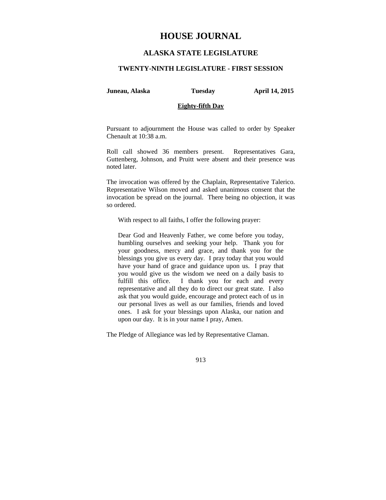# **HOUSE JOURNAL**

# **ALASKA STATE LEGISLATURE**

### **TWENTY-NINTH LEGISLATURE - FIRST SESSION**

**Juneau, Alaska Tuesday April 14, 2015** 

### **Eighty-fifth Day**

Pursuant to adjournment the House was called to order by Speaker Chenault at 10:38 a.m.

Roll call showed 36 members present. Representatives Gara, Guttenberg, Johnson, and Pruitt were absent and their presence was noted later.

The invocation was offered by the Chaplain, Representative Talerico. Representative Wilson moved and asked unanimous consent that the invocation be spread on the journal. There being no objection, it was so ordered.

With respect to all faiths, I offer the following prayer:

Dear God and Heavenly Father, we come before you today, humbling ourselves and seeking your help. Thank you for your goodness, mercy and grace, and thank you for the blessings you give us every day. I pray today that you would have your hand of grace and guidance upon us. I pray that you would give us the wisdom we need on a daily basis to fulfill this office. I thank you for each and every representative and all they do to direct our great state. I also ask that you would guide, encourage and protect each of us in our personal lives as well as our families, friends and loved ones. I ask for your blessings upon Alaska, our nation and upon our day. It is in your name I pray, Amen.

The Pledge of Allegiance was led by Representative Claman.

913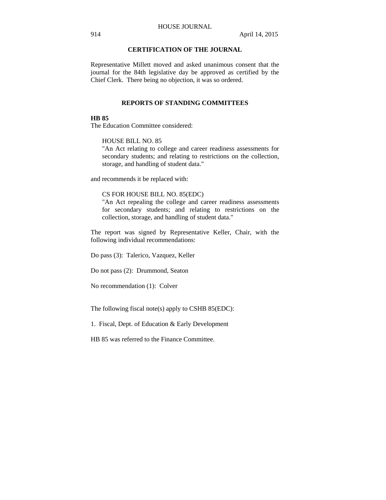## **CERTIFICATION OF THE JOURNAL**

Representative Millett moved and asked unanimous consent that the journal for the 84th legislative day be approved as certified by the Chief Clerk. There being no objection, it was so ordered.

## **REPORTS OF STANDING COMMITTEES**

## **HB 85**

The Education Committee considered:

## HOUSE BILL NO. 85

"An Act relating to college and career readiness assessments for secondary students; and relating to restrictions on the collection, storage, and handling of student data."

and recommends it be replaced with:

## CS FOR HOUSE BILL NO. 85(EDC)

"An Act repealing the college and career readiness assessments for secondary students; and relating to restrictions on the collection, storage, and handling of student data."

The report was signed by Representative Keller, Chair, with the following individual recommendations:

Do pass (3): Talerico, Vazquez, Keller

Do not pass (2): Drummond, Seaton

No recommendation (1): Colver

The following fiscal note(s) apply to CSHB 85(EDC):

1. Fiscal, Dept. of Education & Early Development

HB 85 was referred to the Finance Committee.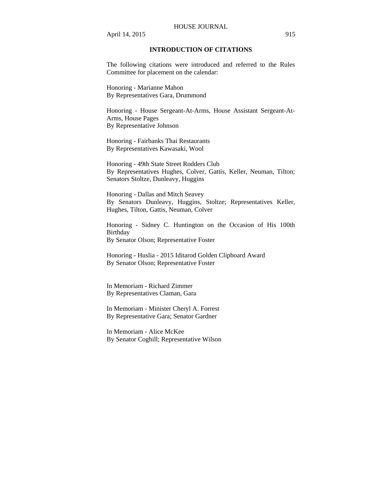#### HOUSE JOURNAL

April 14, 2015 915

## **INTRODUCTION OF CITATIONS**

The following citations were introduced and referred to the Rules Committee for placement on the calendar:

Honoring - Marianne Mahon By Representatives Gara, Drummond

Honoring - House Sergeant-At-Arms, House Assistant Sergeant-At-Arms, House Pages By Representative Johnson

Honoring - Fairbanks Thai Restaurants By Representatives Kawasaki, Wool

Honoring - 49th State Street Rodders Club By Representatives Hughes, Colver, Gattis, Keller, Neuman, Tilton; Senators Stoltze, Dunleavy, Huggins

Honoring - Dallas and Mitch Seavey By Senators Dunleavy, Huggins, Stoltze; Representatives Keller, Hughes, Tilton, Gattis, Neuman, Colver

Honoring - Sidney C. Huntington on the Occasion of His 100th Birthday By Senator Olson; Representative Foster

Honoring - Huslia - 2015 Iditarod Golden Clipboard Award By Senator Olson; Representative Foster

In Memoriam - Richard Zimmer By Representatives Claman, Gara

In Memoriam - Minister Cheryl A. Forrest By Representative Gara; Senator Gardner

In Memoriam - Alice McKee By Senator Coghill; Representative Wilson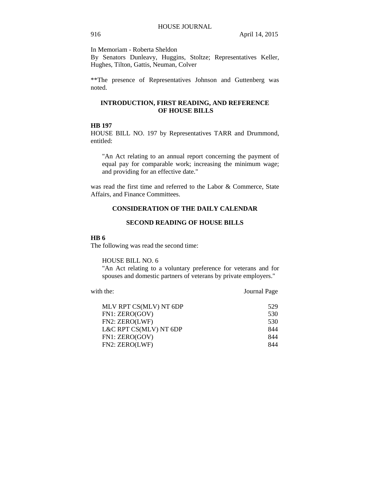In Memoriam - Roberta Sheldon

By Senators Dunleavy, Huggins, Stoltze; Representatives Keller, Hughes, Tilton, Gattis, Neuman, Colver

\*\*The presence of Representatives Johnson and Guttenberg was noted.

## **INTRODUCTION, FIRST READING, AND REFERENCE OF HOUSE BILLS**

## **HB 197**

HOUSE BILL NO. 197 by Representatives TARR and Drummond, entitled:

"An Act relating to an annual report concerning the payment of equal pay for comparable work; increasing the minimum wage; and providing for an effective date."

was read the first time and referred to the Labor & Commerce, State Affairs, and Finance Committees.

# **CONSIDERATION OF THE DAILY CALENDAR**

## **SECOND READING OF HOUSE BILLS**

### **HB 6**

The following was read the second time:

HOUSE BILL NO. 6

"An Act relating to a voluntary preference for veterans and for spouses and domestic partners of veterans by private employers."

with the: **Journal Page** 

| MLV RPT CS(MLV) NT 6DP | 529 |
|------------------------|-----|
| FN1: ZERO(GOV)         | 530 |
| FN2: ZERO(LWF)         | 530 |
| L&C RPT CS(MLV) NT 6DP | 844 |
| FN1: ZERO(GOV)         | 844 |
| FN2: ZERO(LWF)         | 844 |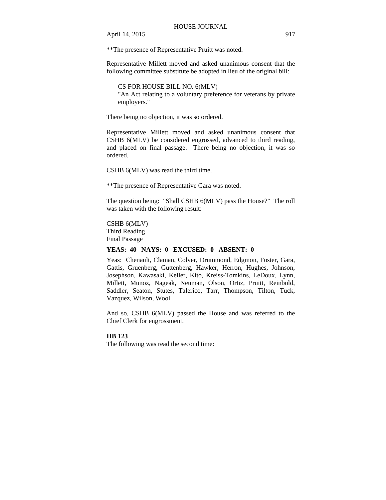\*\*The presence of Representative Pruitt was noted.

Representative Millett moved and asked unanimous consent that the following committee substitute be adopted in lieu of the original bill:

CS FOR HOUSE BILL NO. 6(MLV) "An Act relating to a voluntary preference for veterans by private employers."

There being no objection, it was so ordered.

Representative Millett moved and asked unanimous consent that CSHB 6(MLV) be considered engrossed, advanced to third reading, and placed on final passage. There being no objection, it was so ordered.

CSHB 6(MLV) was read the third time.

\*\*The presence of Representative Gara was noted.

The question being: "Shall CSHB 6(MLV) pass the House?" The roll was taken with the following result:

CSHB 6(MLV) Third Reading Final Passage

## **YEAS: 40 NAYS: 0 EXCUSED: 0 ABSENT: 0**

Yeas: Chenault, Claman, Colver, Drummond, Edgmon, Foster, Gara, Gattis, Gruenberg, Guttenberg, Hawker, Herron, Hughes, Johnson, Josephson, Kawasaki, Keller, Kito, Kreiss-Tomkins, LeDoux, Lynn, Millett, Munoz, Nageak, Neuman, Olson, Ortiz, Pruitt, Reinbold, Saddler, Seaton, Stutes, Talerico, Tarr, Thompson, Tilton, Tuck, Vazquez, Wilson, Wool

And so, CSHB 6(MLV) passed the House and was referred to the Chief Clerk for engrossment.

#### **HB 123**

The following was read the second time: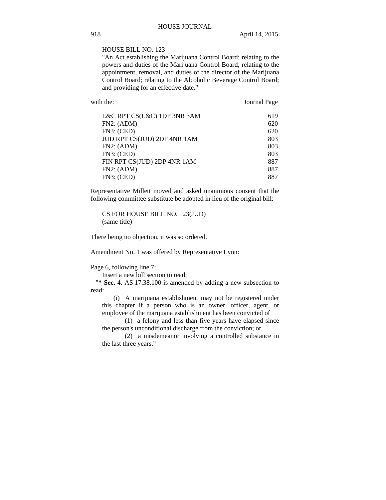## HOUSE BILL NO. 123

"An Act establishing the Marijuana Control Board; relating to the powers and duties of the Marijuana Control Board; relating to the appointment, removal, and duties of the director of the Marijuana Control Board; relating to the Alcoholic Beverage Control Board; and providing for an effective date."

with the: **Journal Page** 

| L&C RPT CS(L&C) 1DP 3NR 3AM | 619 |
|-----------------------------|-----|
| FN2: (ADM)                  | 620 |
| FN3: (CED)                  | 620 |
| JUD RPT CS(JUD) 2DP 4NR 1AM | 803 |
| FN2: (ADM)                  | 803 |
| FN3: (CED)                  | 803 |
| FIN RPT CS(JUD) 2DP 4NR 1AM | 887 |
| FN2: (ADM)                  | 887 |
| FN3: (CED)                  | 887 |

Representative Millett moved and asked unanimous consent that the following committee substitute be adopted in lieu of the original bill:

CS FOR HOUSE BILL NO. 123(JUD) (same title)

There being no objection, it was so ordered.

Amendment No. 1 was offered by Representative Lynn:

Page 6, following line 7:

Insert a new bill section to read:

"**\* Sec. 4.** AS 17.38.100 is amended by adding a new subsection to read:

(i) A marijuana establishment may not be registered under this chapter if a person who is an owner, officer, agent, or employee of the marijuana establishment has been convicted of

(1) a felony and less than five years have elapsed since the person's unconditional discharge from the conviction; or

(2) a misdemeanor involving a controlled substance in the last three years."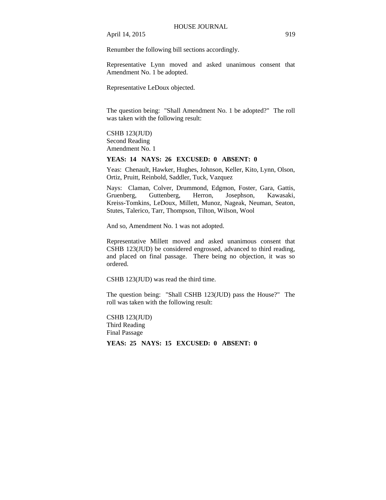Renumber the following bill sections accordingly.

Representative Lynn moved and asked unanimous consent that Amendment No. 1 be adopted.

Representative LeDoux objected.

The question being: "Shall Amendment No. 1 be adopted?" The roll was taken with the following result:

## CSHB 123(JUD) Second Reading Amendment No. 1

#### **YEAS: 14 NAYS: 26 EXCUSED: 0 ABSENT: 0**

Yeas: Chenault, Hawker, Hughes, Johnson, Keller, Kito, Lynn, Olson, Ortiz, Pruitt, Reinbold, Saddler, Tuck, Vazquez

Nays: Claman, Colver, Drummond, Edgmon, Foster, Gara, Gattis, Gruenberg, Guttenberg, Herron, Josephson, Kawasaki, Kreiss-Tomkins, LeDoux, Millett, Munoz, Nageak, Neuman, Seaton, Stutes, Talerico, Tarr, Thompson, Tilton, Wilson, Wool

And so, Amendment No. 1 was not adopted.

Representative Millett moved and asked unanimous consent that CSHB 123(JUD) be considered engrossed, advanced to third reading, and placed on final passage. There being no objection, it was so ordered.

CSHB 123(JUD) was read the third time.

The question being: "Shall CSHB 123(JUD) pass the House?" The roll was taken with the following result:

CSHB 123(JUD) Third Reading Final Passage

**YEAS: 25 NAYS: 15 EXCUSED: 0 ABSENT: 0**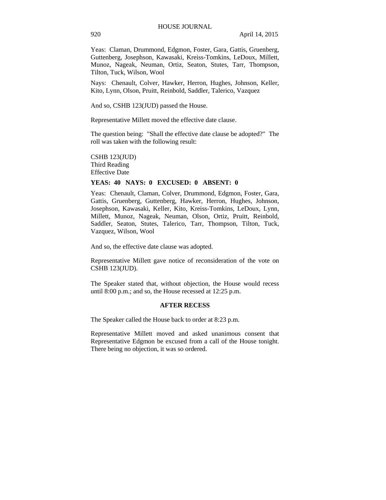Yeas: Claman, Drummond, Edgmon, Foster, Gara, Gattis, Gruenberg, Guttenberg, Josephson, Kawasaki, Kreiss-Tomkins, LeDoux, Millett, Munoz, Nageak, Neuman, Ortiz, Seaton, Stutes, Tarr, Thompson, Tilton, Tuck, Wilson, Wool

Nays: Chenault, Colver, Hawker, Herron, Hughes, Johnson, Keller, Kito, Lynn, Olson, Pruitt, Reinbold, Saddler, Talerico, Vazquez

And so, CSHB 123(JUD) passed the House.

Representative Millett moved the effective date clause.

The question being: "Shall the effective date clause be adopted?" The roll was taken with the following result:

CSHB 123(JUD) Third Reading Effective Date

## **YEAS: 40 NAYS: 0 EXCUSED: 0 ABSENT: 0**

Yeas: Chenault, Claman, Colver, Drummond, Edgmon, Foster, Gara, Gattis, Gruenberg, Guttenberg, Hawker, Herron, Hughes, Johnson, Josephson, Kawasaki, Keller, Kito, Kreiss-Tomkins, LeDoux, Lynn, Millett, Munoz, Nageak, Neuman, Olson, Ortiz, Pruitt, Reinbold, Saddler, Seaton, Stutes, Talerico, Tarr, Thompson, Tilton, Tuck, Vazquez, Wilson, Wool

And so, the effective date clause was adopted.

Representative Millett gave notice of reconsideration of the vote on CSHB 123(JUD).

The Speaker stated that, without objection, the House would recess until 8:00 p.m.; and so, the House recessed at 12:25 p.m.

### **AFTER RECESS**

The Speaker called the House back to order at 8:23 p.m.

Representative Millett moved and asked unanimous consent that Representative Edgmon be excused from a call of the House tonight. There being no objection, it was so ordered.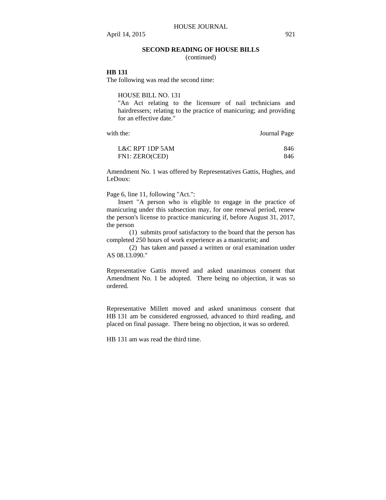### **SECOND READING OF HOUSE BILLS**

(continued)

## **HB 131**

The following was read the second time:

HOUSE BILL NO. 131

"An Act relating to the licensure of nail technicians and hairdressers; relating to the practice of manicuring; and providing for an effective date."

with the: Journal Page

| L&C RPT 1DP 5AM | 846 |
|-----------------|-----|
| FN1: ZERO(CED)  | 846 |

Amendment No. 1 was offered by Representatives Gattis, Hughes, and LeDoux:

Page 6, line 11, following "Act.":

Insert "A person who is eligible to engage in the practice of manicuring under this subsection may, for one renewal period, renew the person's license to practice manicuring if, before August 31, 2017, the person

(1) submits proof satisfactory to the board that the person has completed 250 hours of work experience as a manicurist; and

(2) has taken and passed a written or oral examination under AS 08.13.090."

Representative Gattis moved and asked unanimous consent that Amendment No. 1 be adopted. There being no objection, it was so ordered.

Representative Millett moved and asked unanimous consent that HB 131 am be considered engrossed, advanced to third reading, and placed on final passage. There being no objection, it was so ordered.

HB 131 am was read the third time.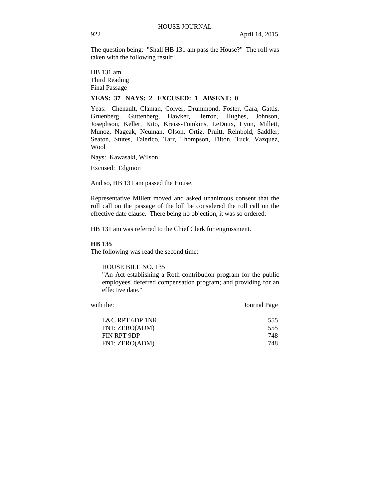The question being: "Shall HB 131 am pass the House?" The roll was taken with the following result:

HB 131 am Third Reading Final Passage

## **YEAS: 37 NAYS: 2 EXCUSED: 1 ABSENT: 0**

Yeas: Chenault, Claman, Colver, Drummond, Foster, Gara, Gattis, Gruenberg, Guttenberg, Hawker, Herron, Hughes, Johnson, Josephson, Keller, Kito, Kreiss-Tomkins, LeDoux, Lynn, Millett, Munoz, Nageak, Neuman, Olson, Ortiz, Pruitt, Reinbold, Saddler, Seaton, Stutes, Talerico, Tarr, Thompson, Tilton, Tuck, Vazquez, Wool

Nays: Kawasaki, Wilson

Excused: Edgmon

And so, HB 131 am passed the House.

Representative Millett moved and asked unanimous consent that the roll call on the passage of the bill be considered the roll call on the effective date clause. There being no objection, it was so ordered.

HB 131 am was referred to the Chief Clerk for engrossment.

## **HB 135**

The following was read the second time:

HOUSE BILL NO. 135

"An Act establishing a Roth contribution program for the public employees' deferred compensation program; and providing for an effective date."

| with the:       | Journal Page |
|-----------------|--------------|
| L&C RPT 6DP 1NR | 555          |
| FN1: ZERO(ADM)  | 555          |
| FIN RPT 9DP     | 748          |
| FN1: ZERO(ADM)  | 748          |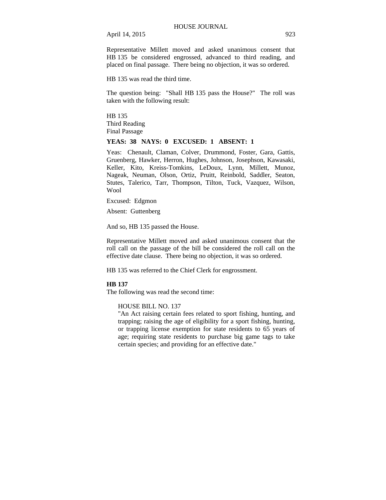Representative Millett moved and asked unanimous consent that HB 135 be considered engrossed, advanced to third reading, and placed on final passage. There being no objection, it was so ordered.

HB 135 was read the third time.

The question being: "Shall HB 135 pass the House?" The roll was taken with the following result:

HB 135 Third Reading Final Passage

### **YEAS: 38 NAYS: 0 EXCUSED: 1 ABSENT: 1**

Yeas: Chenault, Claman, Colver, Drummond, Foster, Gara, Gattis, Gruenberg, Hawker, Herron, Hughes, Johnson, Josephson, Kawasaki, Keller, Kito, Kreiss-Tomkins, LeDoux, Lynn, Millett, Munoz, Nageak, Neuman, Olson, Ortiz, Pruitt, Reinbold, Saddler, Seaton, Stutes, Talerico, Tarr, Thompson, Tilton, Tuck, Vazquez, Wilson, Wool

Excused: Edgmon

Absent: Guttenberg

And so, HB 135 passed the House.

Representative Millett moved and asked unanimous consent that the roll call on the passage of the bill be considered the roll call on the effective date clause. There being no objection, it was so ordered.

HB 135 was referred to the Chief Clerk for engrossment.

#### **HB 137**

The following was read the second time:

### HOUSE BILL NO. 137

"An Act raising certain fees related to sport fishing, hunting, and trapping; raising the age of eligibility for a sport fishing, hunting, or trapping license exemption for state residents to 65 years of age; requiring state residents to purchase big game tags to take certain species; and providing for an effective date."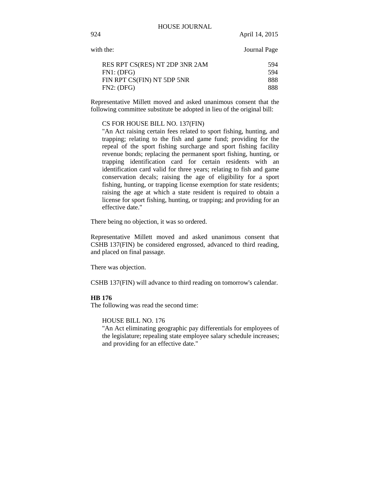| with the:                      | Journal Page |
|--------------------------------|--------------|
| RES RPT CS(RES) NT 2DP 3NR 2AM | 594          |
| FN1: (DFG)                     | 594          |
| FIN RPT CS(FIN) NT 5DP 5NR     | 888          |
| FN2: (DFG)                     | 888          |

Representative Millett moved and asked unanimous consent that the following committee substitute be adopted in lieu of the original bill:

#### CS FOR HOUSE BILL NO. 137(FIN)

"An Act raising certain fees related to sport fishing, hunting, and trapping; relating to the fish and game fund; providing for the repeal of the sport fishing surcharge and sport fishing facility revenue bonds; replacing the permanent sport fishing, hunting, or trapping identification card for certain residents with an identification card valid for three years; relating to fish and game conservation decals; raising the age of eligibility for a sport fishing, hunting, or trapping license exemption for state residents; raising the age at which a state resident is required to obtain a license for sport fishing, hunting, or trapping; and providing for an effective date."

There being no objection, it was so ordered.

Representative Millett moved and asked unanimous consent that CSHB 137(FIN) be considered engrossed, advanced to third reading, and placed on final passage.

There was objection.

CSHB 137(FIN) will advance to third reading on tomorrow's calendar.

## **HB 176**

The following was read the second time:

#### HOUSE BILL NO. 176

"An Act eliminating geographic pay differentials for employees of the legislature; repealing state employee salary schedule increases; and providing for an effective date."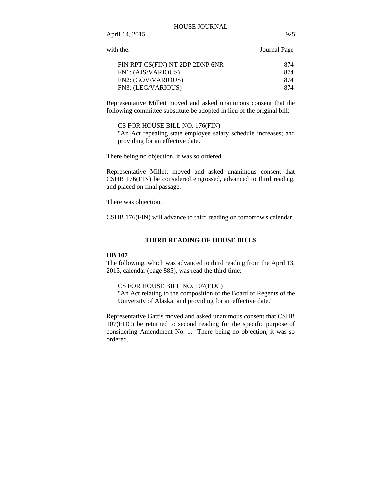#### HOUSE JOURNAL

| Journal Page |
|--------------|
| 874          |
| 874          |
| 874          |
| 874          |
|              |

Representative Millett moved and asked unanimous consent that the following committee substitute be adopted in lieu of the original bill:

CS FOR HOUSE BILL NO. 176(FIN) "An Act repealing state employee salary schedule increases; and providing for an effective date."

There being no objection, it was so ordered.

Representative Millett moved and asked unanimous consent that CSHB 176(FIN) be considered engrossed, advanced to third reading, and placed on final passage.

There was objection.

CSHB 176(FIN) will advance to third reading on tomorrow's calendar.

### **THIRD READING OF HOUSE BILLS**

#### **HB 107**

The following, which was advanced to third reading from the April 13, 2015, calendar (page 885), was read the third time:

### CS FOR HOUSE BILL NO. 107(EDC)

"An Act relating to the composition of the Board of Regents of the University of Alaska; and providing for an effective date."

Representative Gattis moved and asked unanimous consent that CSHB 107(EDC) be returned to second reading for the specific purpose of considering Amendment No. 1. There being no objection, it was so ordered.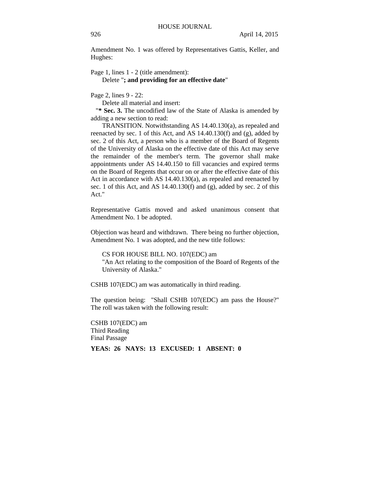Amendment No. 1 was offered by Representatives Gattis, Keller, and Hughes:

Page 1, lines  $1 - 2$  (title amendment): Delete "**; and providing for an effective date**"

Page 2, lines 9 - 22:

Delete all material and insert:

"**\* Sec. 3.** The uncodified law of the State of Alaska is amended by adding a new section to read:

TRANSITION. Notwithstanding AS 14.40.130(a), as repealed and reenacted by sec. 1 of this Act, and AS 14.40.130(f) and (g), added by sec. 2 of this Act, a person who is a member of the Board of Regents of the University of Alaska on the effective date of this Act may serve the remainder of the member's term. The governor shall make appointments under AS 14.40.150 to fill vacancies and expired terms on the Board of Regents that occur on or after the effective date of this Act in accordance with AS 14.40.130(a), as repealed and reenacted by sec. 1 of this Act, and AS 14.40.130(f) and (g), added by sec. 2 of this Act."

Representative Gattis moved and asked unanimous consent that Amendment No. 1 be adopted.

Objection was heard and withdrawn. There being no further objection, Amendment No. 1 was adopted, and the new title follows:

CS FOR HOUSE BILL NO. 107(EDC) am

"An Act relating to the composition of the Board of Regents of the University of Alaska."

CSHB 107(EDC) am was automatically in third reading.

The question being: "Shall CSHB 107(EDC) am pass the House?" The roll was taken with the following result:

CSHB 107(EDC) am Third Reading Final Passage **YEAS: 26 NAYS: 13 EXCUSED: 1 ABSENT: 0**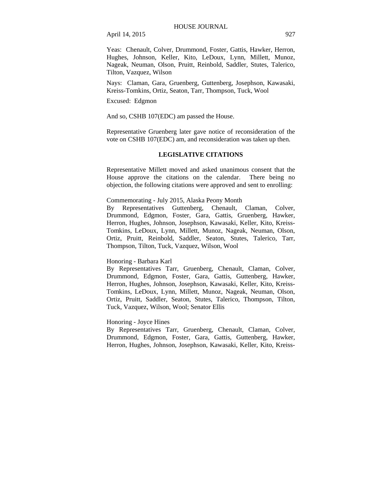Yeas: Chenault, Colver, Drummond, Foster, Gattis, Hawker, Herron, Hughes, Johnson, Keller, Kito, LeDoux, Lynn, Millett, Munoz, Nageak, Neuman, Olson, Pruitt, Reinbold, Saddler, Stutes, Talerico, Tilton, Vazquez, Wilson

Nays: Claman, Gara, Gruenberg, Guttenberg, Josephson, Kawasaki, Kreiss-Tomkins, Ortiz, Seaton, Tarr, Thompson, Tuck, Wool

Excused: Edgmon

And so, CSHB 107(EDC) am passed the House.

Representative Gruenberg later gave notice of reconsideration of the vote on CSHB 107(EDC) am, and reconsideration was taken up then.

## **LEGISLATIVE CITATIONS**

Representative Millett moved and asked unanimous consent that the House approve the citations on the calendar. There being no objection, the following citations were approved and sent to enrolling:

### Commemorating - July 2015, Alaska Peony Month

By Representatives Guttenberg, Chenault, Claman, Colver, Drummond, Edgmon, Foster, Gara, Gattis, Gruenberg, Hawker, Herron, Hughes, Johnson, Josephson, Kawasaki, Keller, Kito, Kreiss-Tomkins, LeDoux, Lynn, Millett, Munoz, Nageak, Neuman, Olson, Ortiz, Pruitt, Reinbold, Saddler, Seaton, Stutes, Talerico, Tarr, Thompson, Tilton, Tuck, Vazquez, Wilson, Wool

### Honoring - Barbara Karl

By Representatives Tarr, Gruenberg, Chenault, Claman, Colver, Drummond, Edgmon, Foster, Gara, Gattis, Guttenberg, Hawker, Herron, Hughes, Johnson, Josephson, Kawasaki, Keller, Kito, Kreiss-Tomkins, LeDoux, Lynn, Millett, Munoz, Nageak, Neuman, Olson, Ortiz, Pruitt, Saddler, Seaton, Stutes, Talerico, Thompson, Tilton, Tuck, Vazquez, Wilson, Wool; Senator Ellis

## Honoring - Joyce Hines

By Representatives Tarr, Gruenberg, Chenault, Claman, Colver, Drummond, Edgmon, Foster, Gara, Gattis, Guttenberg, Hawker, Herron, Hughes, Johnson, Josephson, Kawasaki, Keller, Kito, Kreiss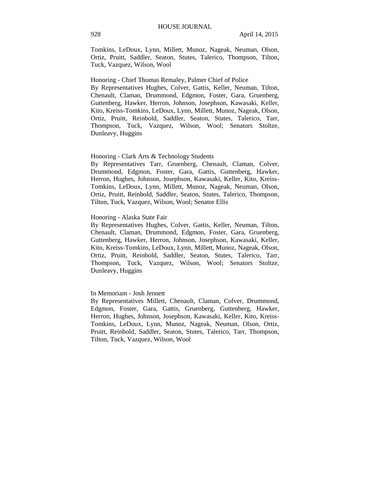Tomkins, LeDoux, Lynn, Millett, Munoz, Nageak, Neuman, Olson, Ortiz, Pruitt, Saddler, Seaton, Stutes, Talerico, Thompson, Tilton, Tuck, Vazquez, Wilson, Wool

Honoring - Chief Thomas Remaley, Palmer Chief of Police By Representatives Hughes, Colver, Gattis, Keller, Neuman, Tilton, Chenault, Claman, Drummond, Edgmon, Foster, Gara, Gruenberg, Guttenberg, Hawker, Herron, Johnson, Josephson, Kawasaki, Keller, Kito, Kreiss-Tomkins, LeDoux, Lynn, Millett, Munoz, Nageak, Olson, Ortiz, Pruitt, Reinbold, Saddler, Seaton, Stutes, Talerico, Tarr, Thompson, Tuck, Vazquez, Wilson, Wool; Senators Stoltze, Dunleavy, Huggins

#### Honoring - Clark Arts & Technology Students

By Representatives Tarr, Gruenberg, Chenault, Claman, Colver, Drummond, Edgmon, Foster, Gara, Gattis, Guttenberg, Hawker, Herron, Hughes, Johnson, Josephson, Kawasaki, Keller, Kito, Kreiss-Tomkins, LeDoux, Lynn, Millett, Munoz, Nageak, Neuman, Olson, Ortiz, Pruitt, Reinbold, Saddler, Seaton, Stutes, Talerico, Thompson, Tilton, Tuck, Vazquez, Wilson, Wool; Senator Ellis

### Honoring - Alaska State Fair

By Representatives Hughes, Colver, Gattis, Keller, Neuman, Tilton, Chenault, Claman, Drummond, Edgmon, Foster, Gara, Gruenberg, Guttenberg, Hawker, Herron, Johnson, Josephson, Kawasaki, Keller, Kito, Kreiss-Tomkins, LeDoux, Lynn, Millett, Munoz, Nageak, Olson, Ortiz, Pruitt, Reinbold, Saddler, Seaton, Stutes, Talerico, Tarr, Thompson, Tuck, Vazquez, Wilson, Wool; Senators Stoltze, Dunleavy, Huggins

### In Memoriam - Josh Jennett

By Representatives Millett, Chenault, Claman, Colver, Drummond, Edgmon, Foster, Gara, Gattis, Gruenberg, Guttenberg, Hawker, Herron, Hughes, Johnson, Josephson, Kawasaki, Keller, Kito, Kreiss-Tomkins, LeDoux, Lynn, Munoz, Nageak, Neuman, Olson, Ortiz, Pruitt, Reinbold, Saddler, Seaton, Stutes, Talerico, Tarr, Thompson, Tilton, Tuck, Vazquez, Wilson, Wool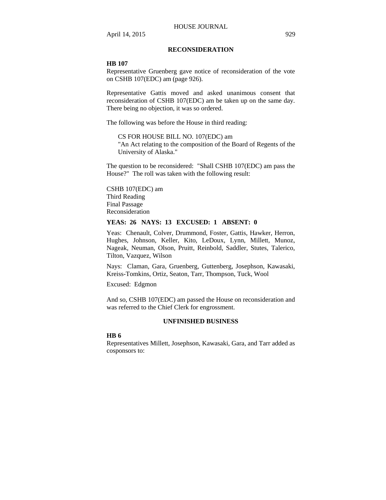## **RECONSIDERATION**

#### **HB 107**

Representative Gruenberg gave notice of reconsideration of the vote on CSHB 107(EDC) am (page 926).

Representative Gattis moved and asked unanimous consent that reconsideration of CSHB 107(EDC) am be taken up on the same day. There being no objection, it was so ordered.

The following was before the House in third reading:

CS FOR HOUSE BILL NO. 107(EDC) am "An Act relating to the composition of the Board of Regents of the University of Alaska."

The question to be reconsidered: "Shall CSHB 107(EDC) am pass the House?" The roll was taken with the following result:

CSHB 107(EDC) am Third Reading Final Passage Reconsideration

## **YEAS: 26 NAYS: 13 EXCUSED: 1 ABSENT: 0**

Yeas: Chenault, Colver, Drummond, Foster, Gattis, Hawker, Herron, Hughes, Johnson, Keller, Kito, LeDoux, Lynn, Millett, Munoz, Nageak, Neuman, Olson, Pruitt, Reinbold, Saddler, Stutes, Talerico, Tilton, Vazquez, Wilson

Nays: Claman, Gara, Gruenberg, Guttenberg, Josephson, Kawasaki, Kreiss-Tomkins, Ortiz, Seaton, Tarr, Thompson, Tuck, Wool

Excused: Edgmon

And so, CSHB 107(EDC) am passed the House on reconsideration and was referred to the Chief Clerk for engrossment.

### **UNFINISHED BUSINESS**

#### **HB 6**

Representatives Millett, Josephson, Kawasaki, Gara, and Tarr added as cosponsors to: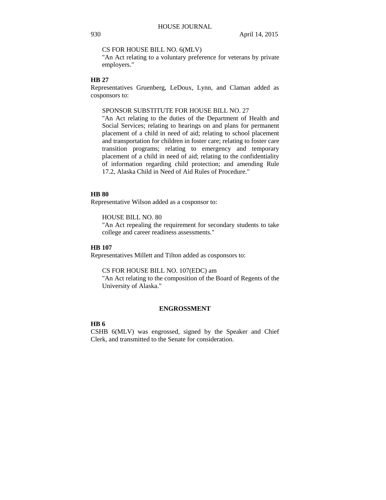#### CS FOR HOUSE BILL NO. 6(MLV)

"An Act relating to a voluntary preference for veterans by private employers."

### **HB 27**

Representatives Gruenberg, LeDoux, Lynn, and Claman added as cosponsors to:

## SPONSOR SUBSTITUTE FOR HOUSE BILL NO. 27

"An Act relating to the duties of the Department of Health and Social Services; relating to hearings on and plans for permanent placement of a child in need of aid; relating to school placement and transportation for children in foster care; relating to foster care transition programs; relating to emergency and temporary placement of a child in need of aid; relating to the confidentiality of information regarding child protection; and amending Rule 17.2, Alaska Child in Need of Aid Rules of Procedure."

### **HB 80**

Representative Wilson added as a cosponsor to:

HOUSE BILL NO. 80

"An Act repealing the requirement for secondary students to take college and career readiness assessments."

### **HB 107**

Representatives Millett and Tilton added as cosponsors to:

CS FOR HOUSE BILL NO. 107(EDC) am

"An Act relating to the composition of the Board of Regents of the University of Alaska."

### **ENGROSSMENT**

# **HB 6**

CSHB 6(MLV) was engrossed, signed by the Speaker and Chief Clerk, and transmitted to the Senate for consideration.